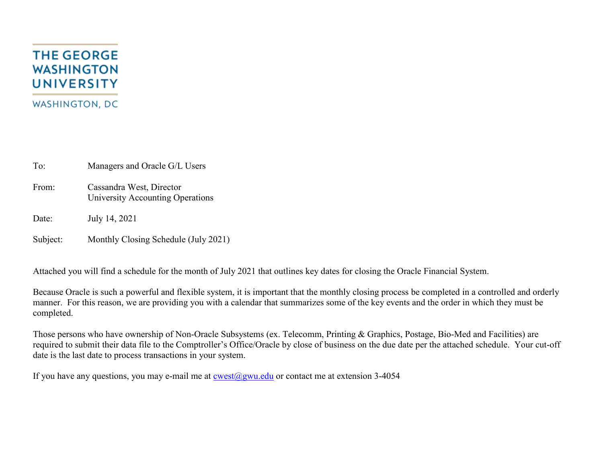# **THE GEORGE WASHINGTON UNIVERSITY WASHINGTON, DC**

To: Managers and Oracle G/L Users

From: Cassandra West, Director University Accounting Operations

Date: July 14, 2021

Subject: Monthly Closing Schedule (July 2021)

Attached you will find a schedule for the month of July 2021 that outlines key dates for closing the Oracle Financial System.

Because Oracle is such a powerful and flexible system, it is important that the monthly closing process be completed in a controlled and orderly manner. For this reason, we are providing you with a calendar that summarizes some of the key events and the order in which they must be completed.

Those persons who have ownership of Non-Oracle Subsystems (ex. Telecomm, Printing & Graphics, Postage, Bio-Med and Facilities) are required to submit their data file to the Comptroller's Office/Oracle by close of business on the due date per the attached schedule. Your cut-off date is the last date to process transactions in your system.

If you have any questions, you may e-mail me at  $\cos(\omega)$ gwu.edu or contact me at extension 3-4054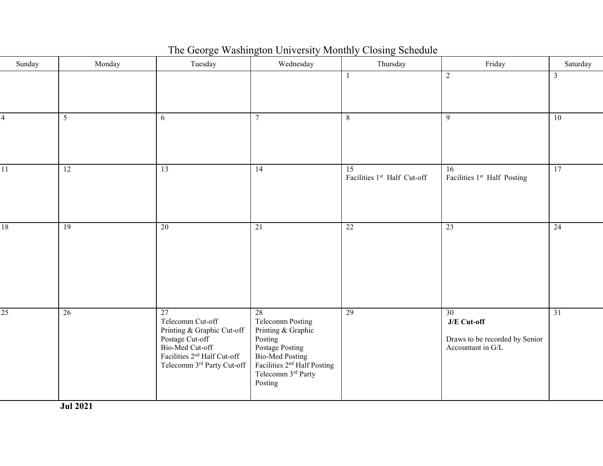| Sunday          | Monday          | Tuesday                                                                                                                                                             | Wednesday                                                                                                                                                                | Thursday                                       | Friday                                                                   | Saturday        |
|-----------------|-----------------|---------------------------------------------------------------------------------------------------------------------------------------------------------------------|--------------------------------------------------------------------------------------------------------------------------------------------------------------------------|------------------------------------------------|--------------------------------------------------------------------------|-----------------|
|                 |                 |                                                                                                                                                                     |                                                                                                                                                                          | 1                                              | $\sqrt{2}$                                                               | $\mathfrak{Z}$  |
| 4               | $5\overline{)}$ | 6                                                                                                                                                                   | $\tau$                                                                                                                                                                   | 8                                              | 9                                                                        | 10              |
| $\overline{11}$ | $\overline{12}$ | $\overline{13}$                                                                                                                                                     | $\overline{14}$                                                                                                                                                          | $\overline{15}$<br>Facilities 1st Half Cut-off | $\overline{16}$<br>Facilities 1 <sup>st</sup> Half Posting               | 17              |
| 18              | 19              | 20                                                                                                                                                                  | 21                                                                                                                                                                       | 22                                             | 23                                                                       | 24              |
| $\overline{25}$ | $\overline{26}$ | 27<br>Telecomm Cut-off<br>Printing & Graphic Cut-off<br>Postage Cut-off<br>Bio-Med Cut-off<br>Facilities 2 <sup>nd</sup> Half Cut-off<br>Telecomm 3rd Party Cut-off | 28<br>Telecomm Posting<br>Printing & Graphic<br>Posting<br>Postage Posting<br>Bio-Med Posting<br>Facilities $2nd$ Half Posting<br>Telecomm $3^{\rm rd}$ Party<br>Posting | 29                                             | 30<br>J/E Cut-off<br>Draws to be recorded by Senior<br>Accountant in G/L | $\overline{31}$ |

## The George Washington University Monthly Closing Schedule

**Jul 2021**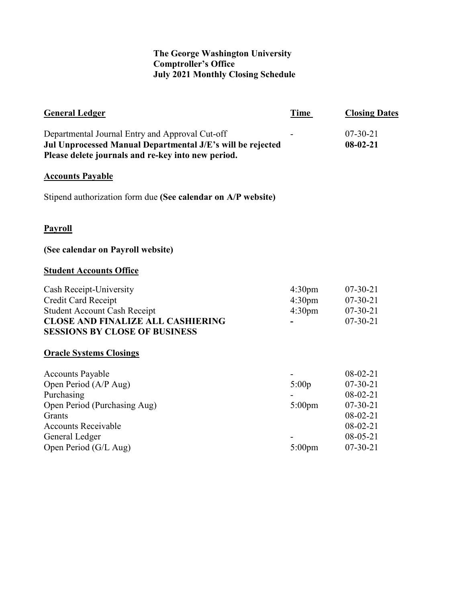### **The George Washington University Comptroller's Office July 2021 Monthly Closing Schedule**

| <b>General Ledger</b>                                                                                                                                                             | Time                                                           | <b>Closing Dates</b>                                                                                                     |
|-----------------------------------------------------------------------------------------------------------------------------------------------------------------------------------|----------------------------------------------------------------|--------------------------------------------------------------------------------------------------------------------------|
| Departmental Journal Entry and Approval Cut-off<br>Jul Unprocessed Manual Departmental J/E's will be rejected<br>Please delete journals and re-key into new period.               |                                                                | $07 - 30 - 21$<br>$08-02-21$                                                                                             |
| <b>Accounts Payable</b>                                                                                                                                                           |                                                                |                                                                                                                          |
| Stipend authorization form due (See calendar on A/P website)                                                                                                                      |                                                                |                                                                                                                          |
| <b>Payroll</b>                                                                                                                                                                    |                                                                |                                                                                                                          |
| (See calendar on Payroll website)                                                                                                                                                 |                                                                |                                                                                                                          |
| <b>Student Accounts Office</b>                                                                                                                                                    |                                                                |                                                                                                                          |
| Cash Receipt-University<br>Credit Card Receipt<br><b>Student Account Cash Receipt</b><br><b>CLOSE AND FINALIZE ALL CASHIERING</b><br><b>SESSIONS BY CLOSE OF BUSINESS</b>         | 4:30 <sub>pm</sub><br>4:30 <sub>pm</sub><br>4:30 <sub>pm</sub> | $07 - 30 - 21$<br>$07 - 30 - 21$<br>$07 - 30 - 21$<br>$07 - 30 - 21$                                                     |
| <b>Oracle Systems Closings</b>                                                                                                                                                    |                                                                |                                                                                                                          |
| <b>Accounts Payable</b><br>Open Period (A/P Aug)<br>Purchasing<br>Open Period (Purchasing Aug)<br>Grants<br><b>Accounts Receivable</b><br>General Ledger<br>Open Period (G/L Aug) | 5:00p<br>$5:00$ pm<br>$5:00$ pm                                | $08-02-21$<br>$07 - 30 - 21$<br>$08-02-21$<br>$07 - 30 - 21$<br>$08-02-21$<br>$08-02-21$<br>$08-05-21$<br>$07 - 30 - 21$ |
|                                                                                                                                                                                   |                                                                |                                                                                                                          |